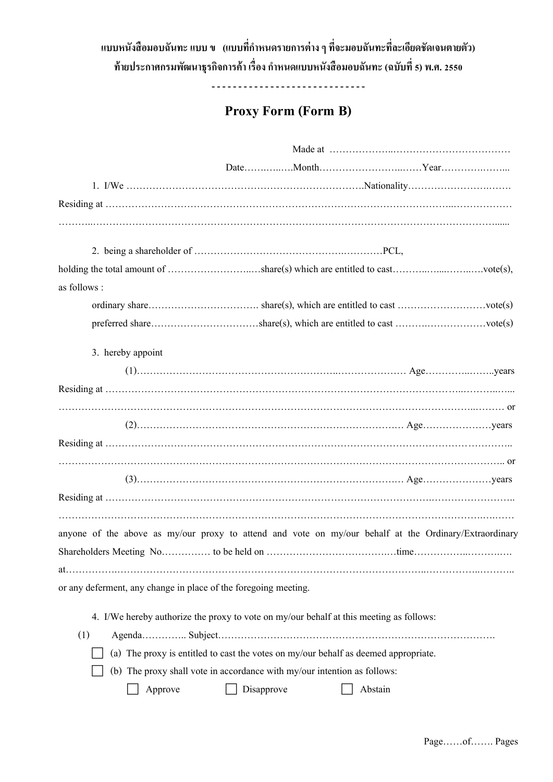## ี แบบหนังสือมอบฉันทะ แบบ ข (แบบที่กำหนดรายการต่าง ๆ ที่จะมอบฉันทะที่ละเอียดชัดเจนตายตัว) **ท้ำยประกำศกรมพฒั นำธุรกจิกำรค้ำ เรื่องกำ หนดแบบหนังสือมอบฉันทะ(ฉบับที่5) พ.ศ. 2550**

----------------------------

## **Proxy Form (Form B)**

| as follows :                                                                                          |
|-------------------------------------------------------------------------------------------------------|
|                                                                                                       |
| preferred shareshare(s), which are entitled to cast vote(s)                                           |
| 3. hereby appoint                                                                                     |
|                                                                                                       |
|                                                                                                       |
|                                                                                                       |
|                                                                                                       |
|                                                                                                       |
|                                                                                                       |
|                                                                                                       |
|                                                                                                       |
| anyone of the above as my/our proxy to attend and vote on my/our behalf at the Ordinary/Extraordinary |
|                                                                                                       |
|                                                                                                       |
| or any deferment, any change in place of the foregoing meeting.                                       |
|                                                                                                       |
| 4. I/We hereby authorize the proxy to vote on my/our behalf at this meeting as follows:               |
| (1)                                                                                                   |
| (a) The proxy is entitled to cast the votes on my/our behalf as deemed appropriate.                   |
| (b) The proxy shall vote in accordance with my/our intention as follows:                              |
| Approve<br>Disapprove<br>Abstain                                                                      |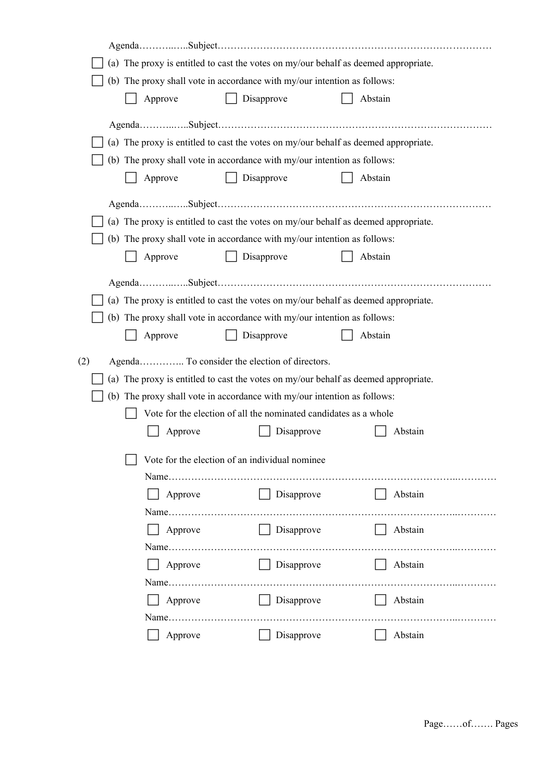|                                                                                     | (a) The proxy is entitled to cast the votes on my/our behalf as deemed appropriate. |                                                                          |                                                                                     |  |  |  |
|-------------------------------------------------------------------------------------|-------------------------------------------------------------------------------------|--------------------------------------------------------------------------|-------------------------------------------------------------------------------------|--|--|--|
| (b) The proxy shall vote in accordance with my/our intention as follows:            |                                                                                     |                                                                          |                                                                                     |  |  |  |
|                                                                                     | Approve                                                                             | Disapprove                                                               | Abstain                                                                             |  |  |  |
|                                                                                     |                                                                                     |                                                                          |                                                                                     |  |  |  |
|                                                                                     |                                                                                     |                                                                          |                                                                                     |  |  |  |
|                                                                                     | (a) The proxy is entitled to cast the votes on my/our behalf as deemed appropriate. |                                                                          |                                                                                     |  |  |  |
|                                                                                     |                                                                                     | (b) The proxy shall vote in accordance with my/our intention as follows: |                                                                                     |  |  |  |
|                                                                                     | Approve                                                                             | Disapprove                                                               | Abstain                                                                             |  |  |  |
|                                                                                     |                                                                                     |                                                                          |                                                                                     |  |  |  |
|                                                                                     |                                                                                     |                                                                          | (a) The proxy is entitled to cast the votes on my/our behalf as deemed appropriate. |  |  |  |
|                                                                                     |                                                                                     | (b) The proxy shall vote in accordance with my/our intention as follows: |                                                                                     |  |  |  |
|                                                                                     | Approve                                                                             | Disapprove                                                               | Abstain                                                                             |  |  |  |
|                                                                                     |                                                                                     |                                                                          |                                                                                     |  |  |  |
|                                                                                     |                                                                                     |                                                                          |                                                                                     |  |  |  |
|                                                                                     |                                                                                     |                                                                          | (a) The proxy is entitled to cast the votes on my/our behalf as deemed appropriate. |  |  |  |
|                                                                                     |                                                                                     | (b) The proxy shall vote in accordance with my/our intention as follows: |                                                                                     |  |  |  |
|                                                                                     | Approve                                                                             | Disapprove                                                               | Abstain                                                                             |  |  |  |
| (2)                                                                                 |                                                                                     | Agenda To consider the election of directors.                            |                                                                                     |  |  |  |
| (a) The proxy is entitled to cast the votes on my/our behalf as deemed appropriate. |                                                                                     |                                                                          |                                                                                     |  |  |  |
|                                                                                     | (b) The proxy shall vote in accordance with my/our intention as follows:            |                                                                          |                                                                                     |  |  |  |
|                                                                                     |                                                                                     |                                                                          |                                                                                     |  |  |  |
|                                                                                     |                                                                                     | Vote for the election of all the nominated candidates as a whole         |                                                                                     |  |  |  |
|                                                                                     | Approve                                                                             | Disapprove                                                               | Abstain                                                                             |  |  |  |
|                                                                                     |                                                                                     |                                                                          |                                                                                     |  |  |  |
|                                                                                     |                                                                                     | Vote for the election of an individual nominee                           |                                                                                     |  |  |  |
|                                                                                     |                                                                                     |                                                                          |                                                                                     |  |  |  |
|                                                                                     | Approve                                                                             | Disapprove                                                               | Abstain                                                                             |  |  |  |
|                                                                                     |                                                                                     |                                                                          |                                                                                     |  |  |  |
|                                                                                     | Approve                                                                             | Disapprove                                                               | Abstain                                                                             |  |  |  |
|                                                                                     |                                                                                     |                                                                          |                                                                                     |  |  |  |
|                                                                                     | Approve                                                                             | $\Box$ Disapprove                                                        | Abstain                                                                             |  |  |  |
|                                                                                     |                                                                                     |                                                                          |                                                                                     |  |  |  |
|                                                                                     | Approve                                                                             | Disapprove<br>$\mathbf{L}$                                               | Abstain                                                                             |  |  |  |
|                                                                                     | Approve                                                                             | Disapprove                                                               | Abstain                                                                             |  |  |  |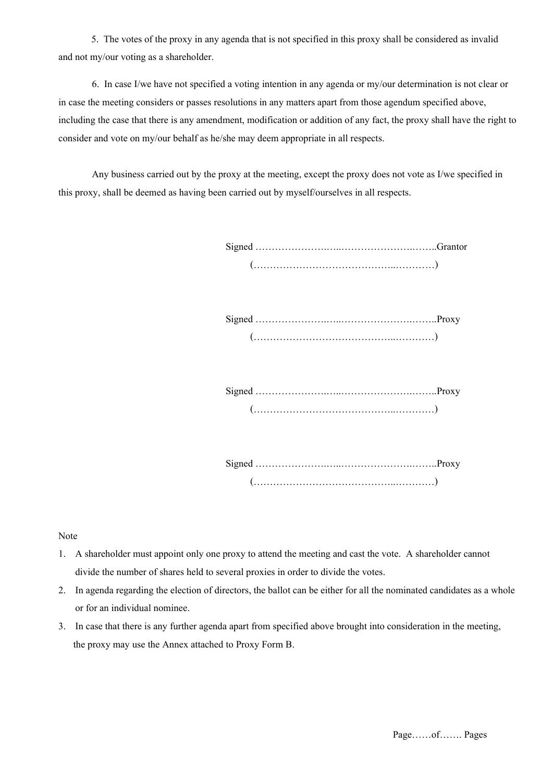5. The votes of the proxy in any agenda that is not specified in this proxy shall be considered as invalid and not my/our voting as a shareholder.

6. In case I/we have not specified a voting intention in any agenda or my/our determination is not clear or in case the meeting considers or passes resolutions in any matters apart from those agendum specified above, including the case that there is any amendment, modification or addition of any fact, the proxy shall have the right to consider and vote on my/our behalf as he/she may deem appropriate in all respects.

Any business carried out by the proxy at the meeting, except the proxy does not vote as I/we specified in this proxy, shall be deemed as having been carried out by myself/ourselves in all respects.

Signed ………………….…..………………….……..Proxy (……………………………………..…………)

Signed ………………….…..………………….……..Proxy (……………………………………..…………)

Signed ………………….…..………………….……..Proxy (……………………………………..…………)

Note

- 1. A shareholder must appoint only one proxy to attend the meeting and cast the vote. A shareholder cannot divide the number of shares held to several proxies in order to divide the votes.
- 2. In agenda regarding the election of directors, the ballot can be either for all the nominated candidates as a whole or for an individual nominee.
- 3. In case that there is any further agenda apart from specified above brought into consideration in the meeting, the proxy may use the Annex attached to Proxy Form B.